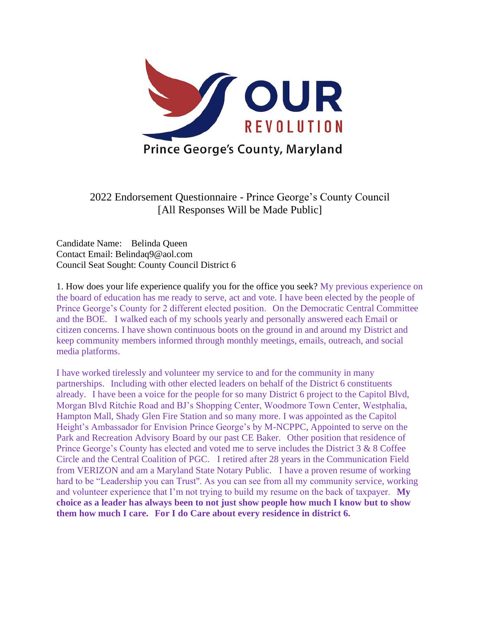

2022 Endorsement Questionnaire - Prince George's County Council [All Responses Will be Made Public]

Candidate Name: Belinda Queen Contact Email: Belindaq9@aol.com Council Seat Sought: County Council District 6

1. How does your life experience qualify you for the office you seek? My previous experience on the board of education has me ready to serve, act and vote. I have been elected by the people of Prince George's County for 2 different elected position. On the Democratic Central Committee and the BOE. I walked each of my schools yearly and personally answered each Email or citizen concerns. I have shown continuous boots on the ground in and around my District and keep community members informed through monthly meetings, emails, outreach, and social media platforms.

I have worked tirelessly and volunteer my service to and for the community in many partnerships. Including with other elected leaders on behalf of the District 6 constituents already. I have been a voice for the people for so many District 6 project to the Capitol Blvd, Morgan Blvd Ritchie Road and BJ's Shopping Center, Woodmore Town Center, Westphalia, Hampton Mall, Shady Glen Fire Station and so many more. I was appointed as the Capitol Height's Ambassador for Envision Prince George's by M-NCPPC, Appointed to serve on the Park and Recreation Advisory Board by our past CE Baker. Other position that residence of Prince George's County has elected and voted me to serve includes the District 3 & 8 Coffee Circle and the Central Coalition of PGC. I retired after 28 years in the Communication Field from VERIZON and am a Maryland State Notary Public. I have a proven resume of working hard to be "Leadership you can Trust''. As you can see from all my community service, working and volunteer experience that I'm not trying to build my resume on the back of taxpayer. **My choice as a leader has always been to not just show people how much I know but to show them how much I care. For I do Care about every residence in district 6.**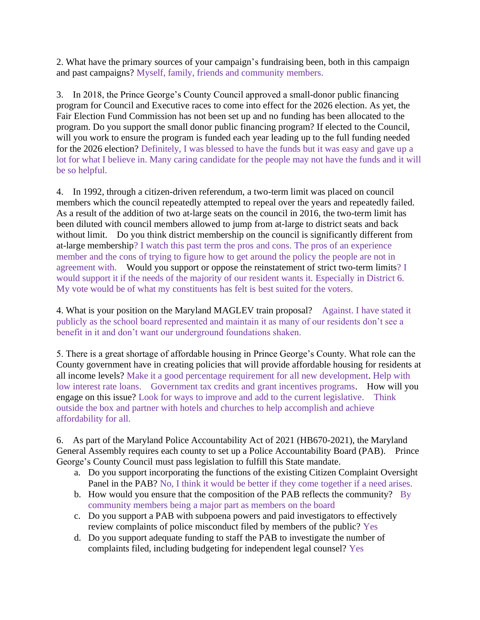2. What have the primary sources of your campaign's fundraising been, both in this campaign and past campaigns? Myself, family, friends and community members.

3. In 2018, the Prince George's County Council approved a small-donor public financing program for Council and Executive races to come into effect for the 2026 election. As yet, the Fair Election Fund Commission has not been set up and no funding has been allocated to the program. Do you support the small donor public financing program? If elected to the Council, will you work to ensure the program is funded each year leading up to the full funding needed for the 2026 election? Definitely, I was blessed to have the funds but it was easy and gave up a lot for what I believe in. Many caring candidate for the people may not have the funds and it will be so helpful.

4. In 1992, through a citizen-driven referendum, a two-term limit was placed on council members which the council repeatedly attempted to repeal over the years and repeatedly failed. As a result of the addition of two at-large seats on the council in 2016, the two-term limit has been diluted with council members allowed to jump from at-large to district seats and back without limit. Do you think district membership on the council is significantly different from at-large membership? I watch this past term the pros and cons. The pros of an experience member and the cons of trying to figure how to get around the policy the people are not in agreement with. Would you support or oppose the reinstatement of strict two-term limits? I would support it if the needs of the majority of our resident wants it. Especially in District 6. My vote would be of what my constituents has felt is best suited for the voters.

4. What is your position on the Maryland MAGLEV train proposal? Against. I have stated it publicly as the school board represented and maintain it as many of our residents don't see a benefit in it and don't want our underground foundations shaken.

5. There is a great shortage of affordable housing in Prince George's County. What role can the County government have in creating policies that will provide affordable housing for residents at all income levels? Make it a good percentage requirement for all new development. Help with low interest rate loans. Government tax credits and grant incentives programs. How will you engage on this issue? Look for ways to improve and add to the current legislative. Think outside the box and partner with hotels and churches to help accomplish and achieve affordability for all.

6. As part of the Maryland Police Accountability Act of 2021 (HB670-2021), the Maryland General Assembly requires each county to set up a Police Accountability Board (PAB). Prince George's County Council must pass legislation to fulfill this State mandate.

- a. Do you support incorporating the functions of the existing Citizen Complaint Oversight Panel in the PAB? No, I think it would be better if they come together if a need arises.
- b. How would you ensure that the composition of the PAB reflects the community? By community members being a major part as members on the board
- c. Do you support a PAB with subpoena powers and paid investigators to effectively review complaints of police misconduct filed by members of the public? Yes
- d. Do you support adequate funding to staff the PAB to investigate the number of complaints filed, including budgeting for independent legal counsel? Yes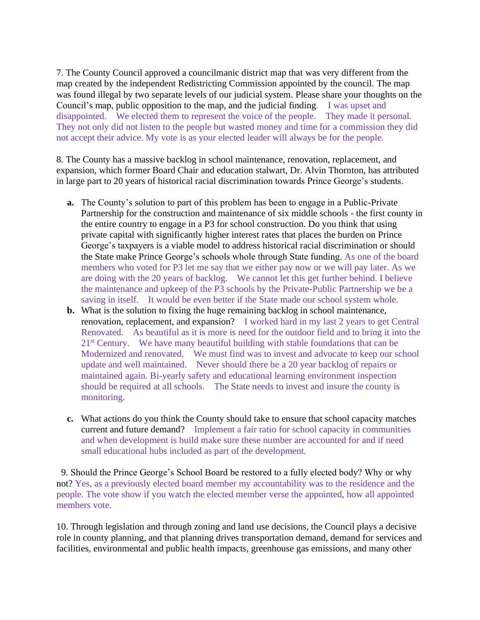7. The County Council approved a councilmanic district map that was very different from the map created by the independent Redistricting Commission appointed by the council. The map was found illegal by two separate levels of our judicial system. Please share your thoughts on the Council's map, public opposition to the map, and the judicial finding. I was upset and disappointed. We elected them to represent the voice of the people. They made it personal. They not only did not listen to the people but wasted money and time for a commission they did not accept their advice. My vote is as your elected leader will always be for the people.

8. The County has a massive backlog in school maintenance, renovation, replacement, and expansion, which former Board Chair and education stalwart, Dr. Alvin Thornton, has attributed in large part to 20 years of historical racial discrimination towards Prince George's students.

- **a.** The County's solution to part of this problem has been to engage in a Public-Private Partnership for the construction and maintenance of six middle schools - the first county in the entire country to engage in a P3 for school construction. Do you think that using private capital with significantly higher interest rates that places the burden on Prince George's taxpayers is a viable model to address historical racial discrimination or should the State make Prince George's schools whole through State funding. As one of the board members who voted for P3 let me say that we either pay now or we will pay later. As we are doing with the 20 years of backlog. We cannot let this get further behind. I believe the maintenance and upkeep of the P3 schools by the Private-Public Partnership we be a saving in itself. It would be even better if the State made our school system whole.
- **b.** What is the solution to fixing the huge remaining backlog in school maintenance, renovation, replacement, and expansion? I worked hard in my last 2 years to get Central Renovated. As beautiful as it is more is need for the outdoor field and to bring it into the 21<sup>st</sup> Century. We have many beautiful building with stable foundations that can be Modernized and renovated. We must find was to invest and advocate to keep our school update and well maintained. Never should there be a 20 year backlog of repairs or maintained again. Bi-yearly safety and educational learning environment inspection should be required at all schools. The State needs to invest and insure the county is monitoring.
- **c.** What actions do you think the County should take to ensure that school capacity matches current and future demand? Implement a fair ratio for school capacity in communities and when development is build make sure these number are accounted for and if need small educational hubs included as part of the development.

9. Should the Prince George's School Board be restored to a fully elected body? Why or why not? Yes, as a previously elected board member my accountability was to the residence and the people. The vote show if you watch the elected member verse the appointed, how all appointed members vote.

10. Through legislation and through zoning and land use decisions, the Council plays a decisive role in county planning, and that planning drives transportation demand, demand for services and facilities, environmental and public health impacts, greenhouse gas emissions, and many other